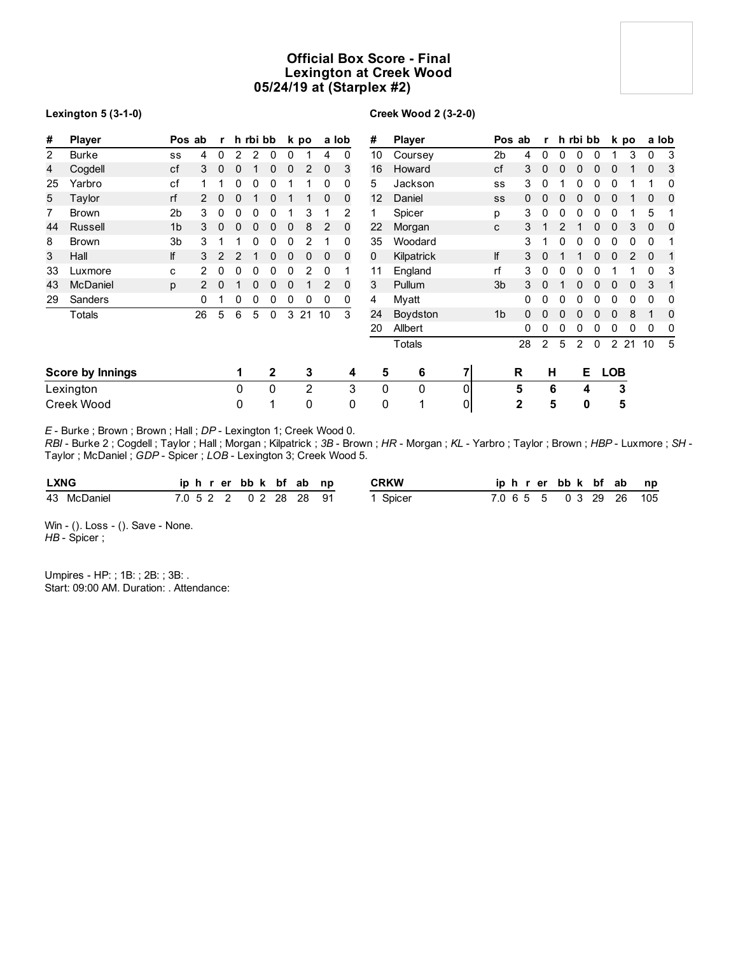## **Official Box Score - Final Lexington at Creek Wood 05/24/19 at (Starplex #2)**

### **Lexington 5 (3-1-0)**

## **Creek Wood 2 (3-2-0)**

| #              | <b>Player</b>           |                | Pos ab        | r              |   | h rbi bb |          |   | k po           |    | a lob    | #               | <b>Player</b> |   |                | Pos ab | r              |              | h rbi bb     |   |                | k po |              | a lob |
|----------------|-------------------------|----------------|---------------|----------------|---|----------|----------|---|----------------|----|----------|-----------------|---------------|---|----------------|--------|----------------|--------------|--------------|---|----------------|------|--------------|-------|
| $\overline{2}$ | <b>Burke</b>            | SS             | 4             | 0              | 2 | 2        | 0        | 0 |                | 4  | 0        | 10              | Coursey       |   | 2 <sub>b</sub> | 4      | 0              | 0            | 0            | 0 |                | 3    | 0            | 3     |
| 4              | Cogdell                 | cf             | 3             | $\mathbf 0$    | 0 | 1        | 0        | 0 | 2              | 0  | 3        | 16              | Howard        |   | cf             | 3      | $\mathbf{0}$   | $\mathbf{0}$ | $\mathbf{0}$ | 0 | 0              |      | $\mathbf{0}$ | 3     |
| 25             | Yarbro                  | cf             |               |                | 0 | 0        | 0        |   |                | 0  | 0        | 5               | Jackson       |   | SS             | 3      | 0              |              | 0            | 0 | 0              |      |              | 0     |
| 5              | Taylor                  | rf             | $\mathcal{P}$ | $\mathbf{0}$   | 0 |          | 0        |   |                | 0  | 0        | 12 <sup>2</sup> | Daniel        |   | SS             | 0      | 0              | 0            | $\Omega$     | 0 | 0              |      | 0            | 0     |
| 7              | <b>Brown</b>            | 2 <sub>b</sub> | 3             | 0              | 0 | 0        | 0        |   | 3              |    | 2        |                 | Spicer        |   | p              | 3      | 0              |              |              |   |                |      | 5            |       |
| 44             | Russell                 | 1 <sub>b</sub> | 3             | $\mathbf{0}$   | 0 | 0        | 0        | 0 | 8              | 2  | 0        | 22              | Morgan        |   | C              | 3      |                |              |              |   |                | 3    | 0            | 0     |
| 8              | <b>Brown</b>            | 3 <sub>b</sub> | 3             |                |   | 0        | 0        | 0 |                |    | 0        | 35              | Woodard       |   |                | 3      |                |              |              |   |                | 0    | 0            |       |
| 3              | Hall                    | lf             | 3             | $\overline{2}$ | 2 |          | 0        | 0 | 0              | 0  | 0        | 0               | Kilpatrick    |   | lf             | 3      | $\Omega$       |              |              |   |                |      | 0            |       |
| 33             | Luxmore                 | C              | 2             | 0              | 0 | 0        | 0        | 0 | 2              | 0  |          | 11              | England       |   | rf             | 3      | 0              | 0            |              |   |                |      |              | 3     |
| 43             | <b>McDaniel</b>         | p              | 2             | $\mathbf{0}$   |   | 0        | 0        | 0 |                | 2  | $\Omega$ | 3               | Pullum        |   | 3 <sub>b</sub> | 3      | $\mathbf{0}$   |              |              | 0 | 0              | 0    | 3            | -1    |
| 29             | Sanders                 |                | 0             |                | 0 | 0        | 0        | 0 | 0              | 0  | 0        | 4               | Myatt         |   |                | 0      | 0              | $\Omega$     | $\Omega$     | 0 | 0              | 0    | $\mathbf 0$  | 0     |
|                | Totals                  |                | 26            | 5              | 6 | 5        | 0        | 3 | 21             | 10 | 3        | 24              | Boydston      |   | 1 <sub>b</sub> | 0      | $\Omega$       |              |              | U |                | 8    |              | 0     |
|                |                         |                |               |                |   |          |          |   |                |    |          | 20              | Allbert       |   |                | 0      | 0              | 0            |              |   | 0              | 0    | 0            | 0     |
|                |                         |                |               |                |   |          |          |   |                |    |          |                 | Totals        |   |                | 28     | $\overline{2}$ | 5            | 2            | 0 | $\overline{2}$ | 21   | 10           | 5     |
|                | <b>Score by Innings</b> |                |               |                | 1 |          | 2        |   | 3              |    | 4        | 5               | 6             | 7 |                | R      | н              |              | Е            |   | <b>LOB</b>     |      |              |       |
|                | Lexington               |                |               |                | 0 |          | $\Omega$ |   | $\overline{2}$ |    | 3        | $\mathbf{0}$    | 0             | 0 |                | 5      |                | 6            | 4            |   | 3              |      |              |       |
|                | Creek Wood              |                |               |                | 0 |          | 1        |   | 0              |    | 0        | 0               | 1             | 0 |                | 2      |                | 5            | 0            |   | 5              |      |              |       |

*E* - Burke ; Brown ; Brown ; Hall ; *DP* - Lexington 1; Creek Wood 0.

*RBI* - Burke 2 ; Cogdell ; Taylor ; Hall ; Morgan ; Kilpatrick ; *3B* - Brown ; *HR* - Morgan ; *KL* - Yarbro ; Taylor ; Brown ; *HBP* - Luxmore ; *SH* - Taylor ; McDaniel ; *GDP* - Spicer ; *LOB* - Lexington 3; Creek Wood 5.

| <b>LXNG</b> | iphrerbbk bfab np      |  |  | <b>CRKW</b> |  |  | iphrerbbk bf ab np      |  |  |
|-------------|------------------------|--|--|-------------|--|--|-------------------------|--|--|
| 43 McDaniel | 7.0 5 2 2 0 2 28 28 91 |  |  | Spicer      |  |  | 7.0 6 5 5 0 3 29 26 105 |  |  |

Win - (). Loss - (). Save - None. *HB* - Spicer ;

Umpires - HP: ; 1B: ; 2B: ; 3B: . Start: 09:00 AM. Duration: . Attendance: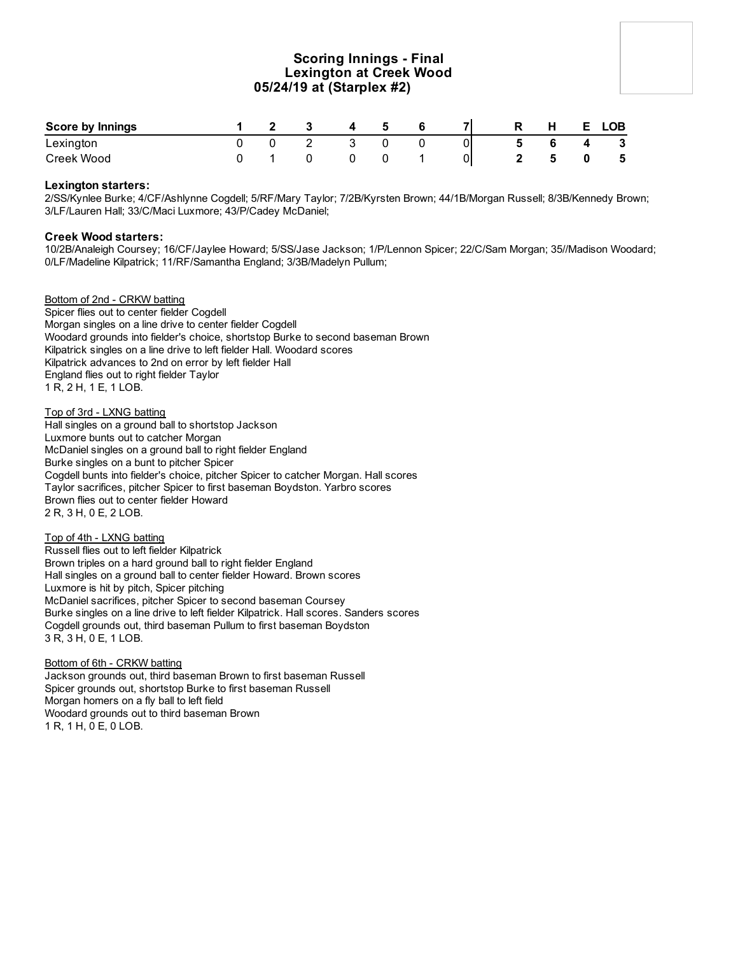## **Scoring Innings - Final Lexington at Creek Wood 05/24/19 at (Starplex #2)**

| <b>Score by Innings</b> |  |  |  |    | н | LOB          |
|-------------------------|--|--|--|----|---|--------------|
| Lexington               |  |  |  | 01 |   | $\mathbf{3}$ |
| Creek Wood              |  |  |  | 0  |   | -5           |

### **Lexington starters:**

2/SS/Kynlee Burke; 4/CF/Ashlynne Cogdell; 5/RF/Mary Taylor; 7/2B/Kyrsten Brown; 44/1B/Morgan Russell; 8/3B/Kennedy Brown; 3/LF/Lauren Hall; 33/C/Maci Luxmore; 43/P/Cadey McDaniel;

### **Creek Wood starters:**

10/2B/Analeigh Coursey; 16/CF/Jaylee Howard; 5/SS/Jase Jackson; 1/P/Lennon Spicer; 22/C/Sam Morgan; 35//Madison Woodard; 0/LF/Madeline Kilpatrick; 11/RF/Samantha England; 3/3B/Madelyn Pullum;

Bottom of 2nd - CRKW batting Spicer flies out to center fielder Cogdell Morgan singles on a line drive to center fielder Cogdell Woodard grounds into fielder's choice, shortstop Burke to second baseman Brown Kilpatrick singles on a line drive to left fielder Hall. Woodard scores Kilpatrick advances to 2nd on error by left fielder Hall England flies out to right fielder Taylor 1 R, 2 H, 1 E, 1 LOB.

Top of 3rd - LXNG batting Hall singles on a ground ball to shortstop Jackson Luxmore bunts out to catcher Morgan McDaniel singles on a ground ball to right fielder England Burke singles on a bunt to pitcher Spicer Cogdell bunts into fielder's choice, pitcher Spicer to catcher Morgan. Hall scores Taylor sacrifices, pitcher Spicer to first baseman Boydston. Yarbro scores Brown flies out to center fielder Howard 2 R, 3 H, 0 E, 2 LOB.

Top of 4th - LXNG batting Russell flies out to left fielder Kilpatrick Brown triples on a hard ground ball to right fielder England Hall singles on a ground ball to center fielder Howard. Brown scores Luxmore is hit by pitch, Spicer pitching McDaniel sacrifices, pitcher Spicer to second baseman Coursey Burke singles on a line drive to left fielder Kilpatrick. Hall scores. Sanders scores Cogdell grounds out, third baseman Pullum to first baseman Boydston 3 R, 3 H, 0 E, 1 LOB.

Bottom of 6th - CRKW batting Jackson grounds out, third baseman Brown to first baseman Russell Spicer grounds out, shortstop Burke to first baseman Russell Morgan homers on a fly ball to left field Woodard grounds out to third baseman Brown 1 R, 1 H, 0 E, 0 LOB.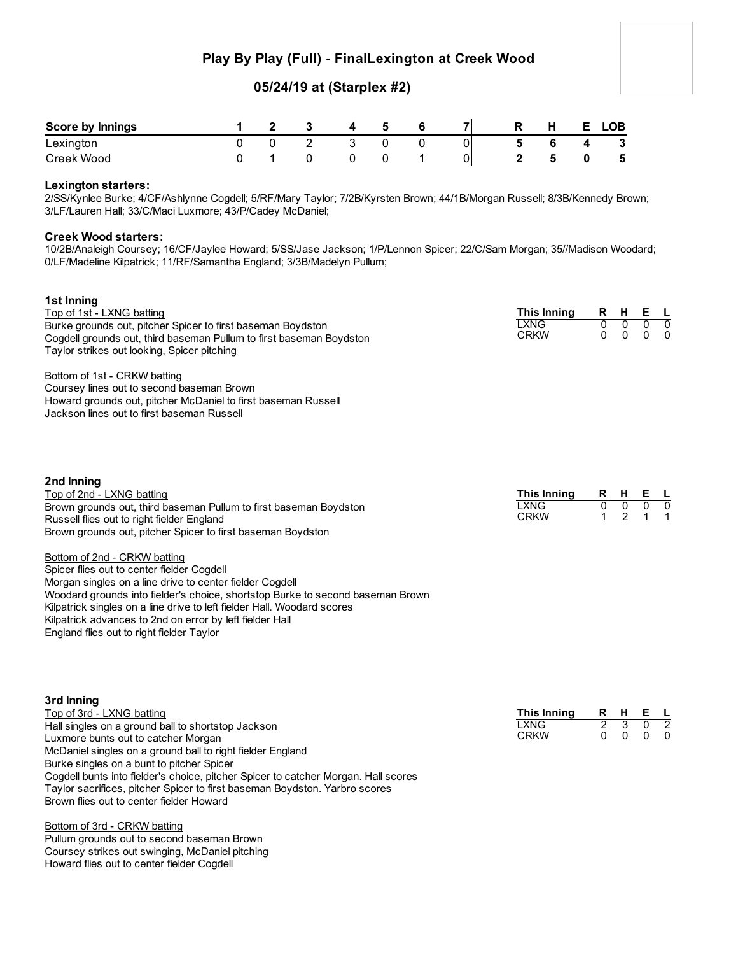## **Play By Play (Full) - FinalLexington at Creek Wood**

# **05/24/19 at (Starplex #2)**

| <b>Score by Innings</b> |  | $\mathbf{A}$ | -5 | -71 | R | н. | F. | <b>LOB</b>   |
|-------------------------|--|--------------|----|-----|---|----|----|--------------|
| Lexington               |  |              |    | 01  | 5 |    |    | $\mathbf{3}$ |
| Creek Wood              |  |              |    | 01  |   |    |    | - 5          |

### **Lexington starters:**

2/SS/Kynlee Burke; 4/CF/Ashlynne Cogdell; 5/RF/Mary Taylor; 7/2B/Kyrsten Brown; 44/1B/Morgan Russell; 8/3B/Kennedy Brown; 3/LF/Lauren Hall; 33/C/Maci Luxmore; 43/P/Cadey McDaniel;

### **Creek Wood starters:**

10/2B/Analeigh Coursey; 16/CF/Jaylee Howard; 5/SS/Jase Jackson; 1/P/Lennon Spicer; 22/C/Sam Morgan; 35//Madison Woodard; 0/LF/Madeline Kilpatrick; 11/RF/Samantha England; 3/3B/Madelyn Pullum;

| 1st Inning<br>Top of 1st - LXNG batting<br>Burke grounds out, pitcher Spicer to first baseman Boydston<br>Cogdell grounds out, third baseman Pullum to first baseman Boydston<br>Taylor strikes out looking, Spicer pitching<br>Bottom of 1st - CRKW batting<br>Coursey lines out to second baseman Brown<br>Howard grounds out, pitcher McDaniel to first baseman Russell<br>Jackson lines out to first baseman Russell                                                                                                                                                                                                                  | This Inning<br><b>LXNG</b><br><b>CRKW</b> | R<br>0<br>$\mathbf{0}$ | H<br>$\overline{0}$<br>$\mathbf{0}$    | Е<br>$\overline{0}$<br>$\mathbf{0}$ | - L<br>$\overline{0}$<br>$\Omega$ |
|-------------------------------------------------------------------------------------------------------------------------------------------------------------------------------------------------------------------------------------------------------------------------------------------------------------------------------------------------------------------------------------------------------------------------------------------------------------------------------------------------------------------------------------------------------------------------------------------------------------------------------------------|-------------------------------------------|------------------------|----------------------------------------|-------------------------------------|-----------------------------------|
| 2nd Inning<br>Top of 2nd - LXNG batting<br>Brown grounds out, third baseman Pullum to first baseman Boydston<br>Russell flies out to right fielder England<br>Brown grounds out, pitcher Spicer to first baseman Boydston<br>Bottom of 2nd - CRKW batting<br>Spicer flies out to center fielder Cogdell<br>Morgan singles on a line drive to center fielder Cogdell<br>Woodard grounds into fielder's choice, shortstop Burke to second baseman Brown<br>Kilpatrick singles on a line drive to left fielder Hall. Woodard scores<br>Kilpatrick advances to 2nd on error by left fielder Hall<br>England flies out to right fielder Taylor | This Inning<br><b>LXNG</b><br><b>CRKW</b> | R<br>0<br>1            | H.<br>$\overline{0}$<br>$\mathfrak{p}$ | Е<br>0                              | 0                                 |

| 3rd Inning                                                                         |             |          |     |     |                |
|------------------------------------------------------------------------------------|-------------|----------|-----|-----|----------------|
| Top of 3rd - LXNG batting                                                          | This Inning |          | R H | EL  |                |
| Hall singles on a ground ball to shortstop Jackson                                 | LXNG        | 2        |     |     | $\overline{2}$ |
| Luxmore bunts out to catcher Morgan                                                | <b>CRKW</b> | $\Omega$ |     | 0 0 |                |
| McDaniel singles on a ground ball to right fielder England                         |             |          |     |     |                |
| Burke singles on a bunt to pitcher Spicer                                          |             |          |     |     |                |
| Cogdell bunts into fielder's choice, pitcher Spicer to catcher Morgan. Hall scores |             |          |     |     |                |
| Taylor sacrifices, pitcher Spicer to first baseman Boydston. Yarbro scores         |             |          |     |     |                |
| Brown flies out to center fielder Howard                                           |             |          |     |     |                |

Bottom of 3rd - CRKW batting Pullum grounds out to second baseman Brown Coursey strikes out swinging, McDaniel pitching Howard flies out to center fielder Cogdell